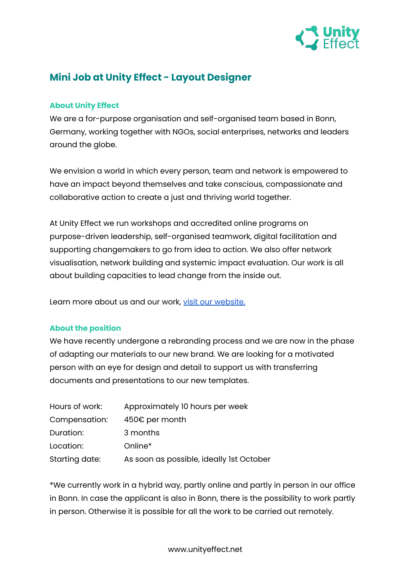

# **Mini Job at Unity Effect - Layout Designer**

## **About Unity Effect**

We are a for-purpose organisation and self-organised team based in Bonn, Germany, working together with NGOs, social enterprises, networks and leaders around the globe.

We envision a world in which every person, team and network is empowered to have an impact beyond themselves and take conscious, compassionate and collaborative action to create a just and thriving world together.

At Unity Effect we run workshops and accredited online programs on purpose-driven leadership, self-organised teamwork, digital facilitation and supporting changemakers to go from idea to action. We also offer network visualisation, network building and systemic impact evaluation. Our work is all about building capacities to lead change from the inside out.

Learn more about us and our work, visit our [website.](http://www.unityeffect.net)

### **About the position**

We have recently undergone a rebranding process and we are now in the phase of adapting our materials to our new brand. We are looking for a motivated person with an eye for design and detail to support us with transferring documents and presentations to our new templates.

| Hours of work: | Approximately 10 hours per week          |
|----------------|------------------------------------------|
| Compensation:  | 450€ per month                           |
| Duration:      | 3 months                                 |
| Location:      | Online*                                  |
| Starting date: | As soon as possible, ideally 1st October |

\*We currently work in a hybrid way, partly online and partly in person in our office in Bonn. In case the applicant is also in Bonn, there is the possibility to work partly in person. Otherwise it is possible for all the work to be carried out remotely.